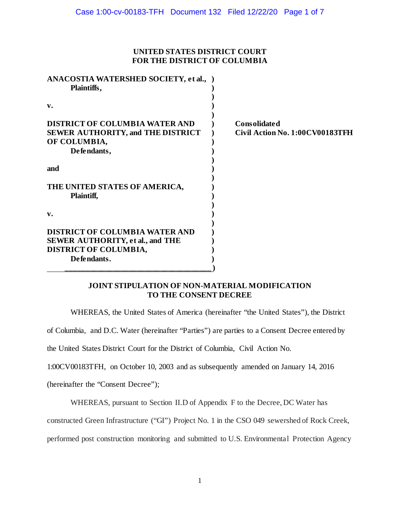## **UNITED STATES DISTRICT COURT FOR THE DISTRICT OF COLUMBIA**

| ANACOSTIA WATERSHED SOCIETY, et al., )<br>Plaintiffs, |                                 |
|-------------------------------------------------------|---------------------------------|
|                                                       |                                 |
| v.                                                    |                                 |
|                                                       |                                 |
| <b>DISTRICT OF COLUMBIA WATER AND</b>                 | <b>Consolidated</b>             |
| <b>SEWER AUTHORITY, and THE DISTRICT</b>              | Civil Action No. 1:00CV00183TFH |
| OF COLUMBIA,                                          |                                 |
| Defendants,                                           |                                 |
|                                                       |                                 |
| and                                                   |                                 |
| THE UNITED STATES OF AMERICA,<br>Plaintiff,           |                                 |
| v.                                                    |                                 |
|                                                       |                                 |
| <b>DISTRICT OF COLUMBIA WATER AND</b>                 |                                 |
| <b>SEWER AUTHORITY, et al., and THE</b>               |                                 |
| <b>DISTRICT OF COLUMBIA,</b>                          |                                 |
| Defendants.                                           |                                 |
|                                                       |                                 |

# **JOINT STIPULATION OF NON-MATERIAL MODIFICATION TO THE CONSENT DECREE**

WHEREAS, the United States of America (hereinafter "the United States"), the District

of Columbia, and D.C. Water (hereinafter "Parties") are parties to a Consent Decree entered by

the United States District Court for the District of Columbia, Civil Action No.

1:00CV00183TFH, on October 10, 2003 and as subsequently amended on January 14, 2016

(hereinafter the "Consent Decree");

WHEREAS, pursuant to Section II.D of Appendix F to the Decree, DC Water has

constructed Green Infrastructure ("GI") Project No. 1 in the CSO 049 sewershed of Rock Creek,

performed post construction monitoring and submitted to U.S. Environmental Protection Agency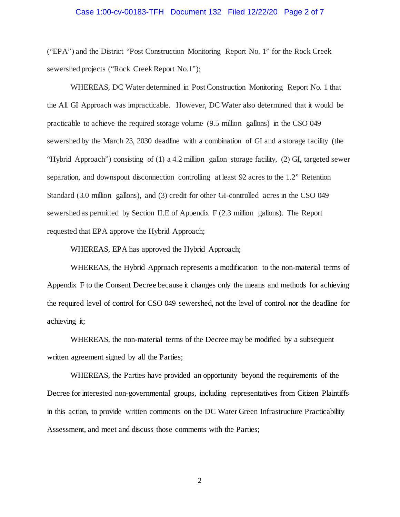#### Case 1:00-cv-00183-TFH Document 132 Filed 12/22/20 Page 2 of 7

("EPA") and the District "Post Construction Monitoring Report No. 1" for the Rock Creek sewershed projects ("Rock Creek Report No.1");

WHEREAS, DC Water determined in Post Construction Monitoring Report No. 1 that the All GI Approach was impracticable. However, DC Water also determined that it would be practicable to achieve the required storage volume (9.5 million gallons) in the CSO 049 sewershed by the March 23, 2030 deadline with a combination of GI and a storage facility (the "Hybrid Approach") consisting of (1) a 4.2 million gallon storage facility, (2) GI, targeted sewer separation, and downspout disconnection controlling at least 92 acres to the 1.2" Retention Standard (3.0 million gallons), and (3) credit for other GI-controlled acres in the CSO 049 sewershed as permitted by Section II.E of Appendix F (2.3 million gallons). The Report requested that EPA approve the Hybrid Approach;

WHEREAS, EPA has approved the Hybrid Approach;

WHEREAS, the Hybrid Approach represents a modification to the non-material terms of Appendix F to the Consent Decree because it changes only the means and methods for achieving the required level of control for CSO 049 sewershed, not the level of control nor the deadline for achieving it;

WHEREAS, the non-material terms of the Decree may be modified by a subsequent written agreement signed by all the Parties;

WHEREAS, the Parties have provided an opportunity beyond the requirements of the Decree for interested non-governmental groups, including representatives from Citizen Plaintiffs in this action, to provide written comments on the DC Water Green Infrastructure Practicability Assessment, and meet and discuss those comments with the Parties;

2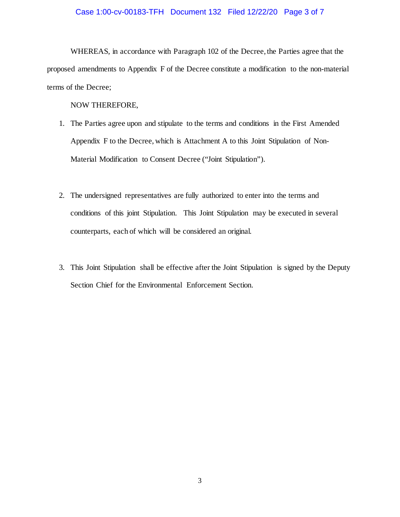#### Case 1:00-cv-00183-TFH Document 132 Filed 12/22/20 Page 3 of 7

WHEREAS, in accordance with Paragraph 102 of the Decree, the Parties agree that the proposed amendments to Appendix F of the Decree constitute a modification to the non-material terms of the Decree;

NOW THEREFORE,

- 1. The Parties agree upon and stipulate to the terms and conditions in the First Amended Appendix F to the Decree, which is Attachment A to this Joint Stipulation of Non-Material Modification to Consent Decree ("Joint Stipulation").
- 2. The undersigned representatives are fully authorized to enter into the terms and conditions of this joint Stipulation. This Joint Stipulation may be executed in several counterparts, each of which will be considered an original.
- 3. This Joint Stipulation shall be effective after the Joint Stipulation is signed by the Deputy Section Chief for the Environmental Enforcement Section.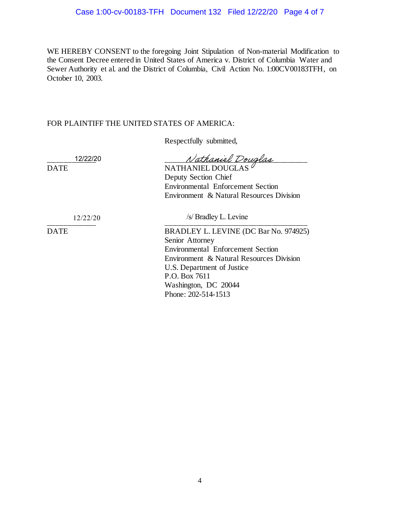WE HEREBY CONSENT to the foregoing Joint Stipulation of Non-material Modification to the Consent Decree entered in United States of America v. District of Columbia Water and Sewer Authority et al. and the District of Columbia, Civil Action No. 1:00CV00183TFH, on October 10, 2003.

# FOR PLAINTIFF THE UNITED STATES OF AMERICA:

Respectfully submitted,

12/22/20

Nathaniel Douglas DATE NATHANIEL DOUGLAS Deputy Section Chief Environmental Enforcement Section Environment & Natural Resources Division

12/22/20 /s/ Bradley L. Levine

\_\_\_\_\_\_\_\_\_\_\_\_ \_\_\_\_\_\_\_\_\_\_\_\_\_\_\_\_\_\_\_\_\_\_\_\_\_\_\_\_\_\_\_\_\_\_\_\_

DATE BRADLEY L. LEVINE (DC Bar No. 974925) Senior Attorney Environmental Enforcement Section Environment & Natural Resources Division U.S. Department of Justice P.O. Box 7611 Washington, DC 20044 Phone: 202-514-1513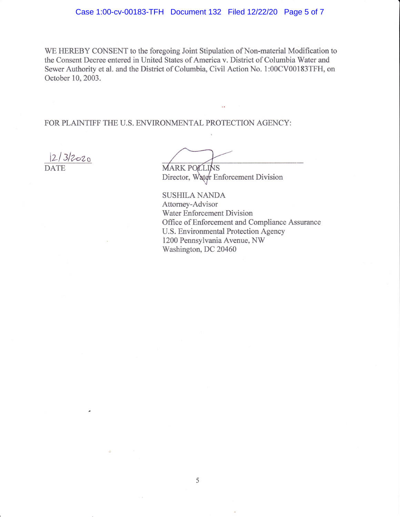#### Case 1:00-cv-00183-TFH Document 132 Filed 12/22/20 Page 5 of 7

WE HEREBY CONSENT to the foregoing Joint Stipulation of Non-material Modification to the Consent Decree entered in United States of America v. District of Columbia Water and Sewer Authority et al. and the District of Columbia, Civil Action No. 1:00CV00183TFH, on October 10, 2003.

FOR PLAINTIFF THE U.S. ENVIRONMENTAL PROTECTION AGENCY:

 $|2/3|2020$ 

**MARK POLLINS** Director, Water Enforcement Division

**SUSHILA NANDA** Attorney-Advisor Water Enforcement Division Office of Enforcement and Compliance Assurance U.S. Environmental Protection Agency 1200 Pennsylvania Avenue, NW Washington, DC 20460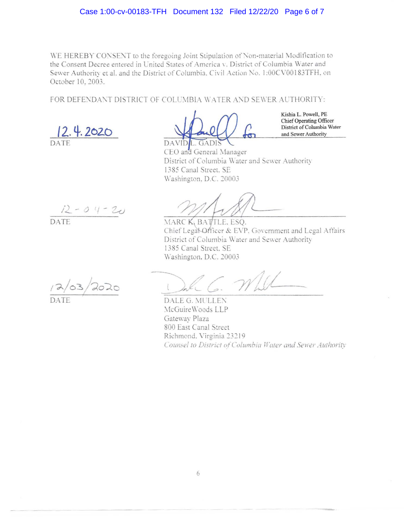#### Case 1:00-cv-00183-TFH Document 132 Filed 12/22/20 Page 6 of 7

WE HEREBY CONSENT to the foregoing Joint Stipulation of Non-material Modification to the Consent Decree entered in United States of America v. District of Columbia Water and Sewer Authority et al. and the District of Columbia. Civil Action No. 1:00CV00183TFH, on October 10, 2003.

FOR DEFENDANT DISTRICT OF COLUMBIA WATER AND SEWER AUTHORITY:

**/2. 4.202..D** 

DATE

Kishia L. Powell, PE Chief Operating Officer District of Columbia Water and Sewer Authority

**DAVID** L. GADIS CEO and General Manager District of Columbia Water and Sewer Authority 1385 Canal Street. SE \\'ashingron. D.C. *20003* 

DATE

MARCK, BATTLE, ESQ. Chief Lega\-Officer & EVP. Government and Legal Affairs District of Columbia Water and Sewer Authority 1385 Canal Street. SE \\'ashingron. D.C. *20003* 

 $2/03/2020$ DATE

*j)\_-,)* , - z.u

DALE G. MULLEN McGuire Woods LLP Gateway Plaza 800 East Canal Street Richmond. Virginia 23219 *Counsel to District of Columbia Water and Sewer Authority*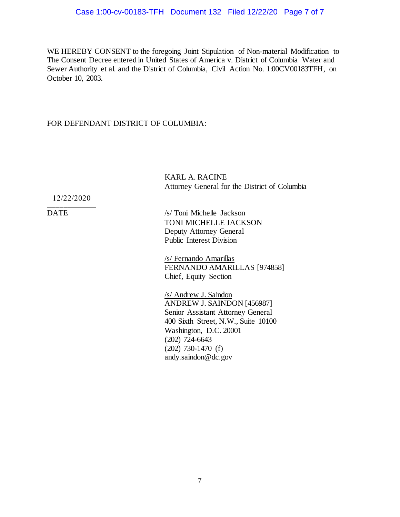WE HEREBY CONSENT to the foregoing Joint Stipulation of Non-material Modification to The Consent Decree entered in United States of America v. District of Columbia Water and Sewer Authority et al. and the District of Columbia, Civil Action No. 1:00CV00183TFH, on October 10, 2003.

# FOR DEFENDANT DISTRICT OF COLUMBIA:

KARL A. RACINE Attorney General for the District of Columbia

\_\_\_\_\_\_\_\_\_\_\_\_ 12/22/2020

DATE /s/ Toni Michelle Jackson TONI MICHELLE JACKSON Deputy Attorney General Public Interest Division

> /s/ Fernando Amarillas FERNANDO AMARILLAS [974858] Chief, Equity Section

/s/ Andrew J. Saindon ANDREW J. SAINDON [456987] Senior Assistant Attorney General 400 Sixth Street, N.W., Suite 10100 Washington, D.C. 20001 (202) 724-6643 (202) 730-1470 (f) andy.saindon@dc.gov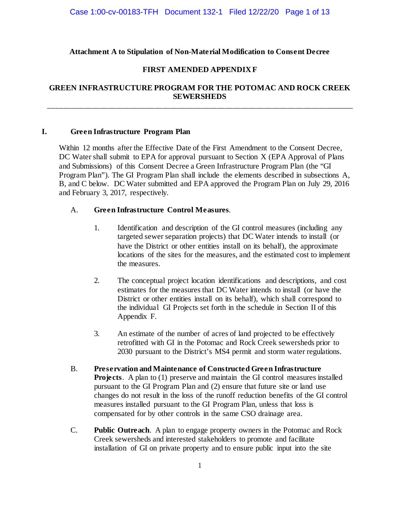## **Attachment A to Stipulation of Non-Material Modification to Consent Decree**

## **FIRST AMENDED APPENDIX F**

## **GREEN INFRASTRUCTURE PROGRAM FOR THE POTOMAC AND ROCK CREEK SEWERSHEDS** \_\_\_\_\_\_\_\_\_\_\_\_\_\_\_\_\_\_\_\_\_\_\_\_\_\_\_\_\_\_\_\_\_\_\_\_\_\_\_\_\_\_\_\_\_\_\_\_\_\_\_\_\_\_\_\_\_\_\_\_\_\_\_\_\_\_\_\_\_\_\_\_\_\_\_\_\_\_

#### **I. Green Infrastructure Program Plan**

Within 12 months after the Effective Date of the First Amendment to the Consent Decree, DC Water shall submit to EPA for approval pursuant to Section X (EPA Approval of Plans and Submissions) of this Consent Decree a Green Infrastructure Program Plan (the "GI Program Plan"). The GI Program Plan shall include the elements described in subsections A, B, and C below. DC Water submitted and EPA approved the Program Plan on July 29, 2016 and February 3, 2017, respectively.

## A. **Green Infrastructure Control Measures**.

- 1. Identification and description of the GI control measures (including any targeted sewer separation projects) that DC Water intends to install (or have the District or other entities install on its behalf), the approximate locations of the sites for the measures, and the estimated cost to implement the measures.
- 2. The conceptual project location identifications and descriptions, and cost estimates for the measures that DC Water intends to install (or have the District or other entities install on its behalf), which shall correspond to the individual GI Projects set forth in the schedule in Section II of this Appendix F.
- 3. An estimate of the number of acres of land projected to be effectively retrofitted with GI in the Potomac and Rock Creek sewersheds prior to 2030 pursuant to the District's MS4 permit and storm water regulations.
- B. **Preservation and Maintenance of Constructed Green Infrastructure Projects.** A plan to (1) preserve and maintain the GI control measures installed pursuant to the GI Program Plan and (2) ensure that future site or land use changes do not result in the loss of the runoff reduction benefits of the GI control measures installed pursuant to the GI Program Plan, unless that loss is compensated for by other controls in the same CSO drainage area.
- C. **Public Outreach**. A plan to engage property owners in the Potomac and Rock Creek sewersheds and interested stakeholders to promote and facilitate installation of GI on private property and to ensure public input into the site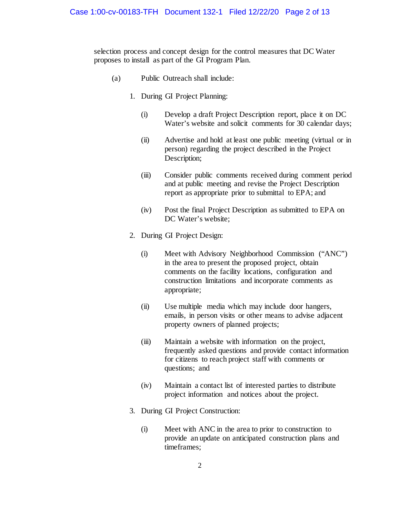selection process and concept design for the control measures that DC Water proposes to install as part of the GI Program Plan.

- (a) Public Outreach shall include:
	- 1. During GI Project Planning:
		- (i) Develop a draft Project Description report, place it on DC Water's website and solicit comments for 30 calendar days;
		- (ii) Advertise and hold at least one public meeting (virtual or in person) regarding the project described in the Project Description;
		- (iii) Consider public comments received during comment period and at public meeting and revise the Project Description report as appropriate prior to submittal to EPA; and
		- (iv) Post the final Project Description as submitted to EPA on DC Water's website;
	- 2. During GI Project Design:
		- (i) Meet with Advisory Neighborhood Commission ("ANC") in the area to present the proposed project, obtain comments on the facility locations, configuration and construction limitations and incorporate comments as appropriate;
		- (ii) Use multiple media which may include door hangers, emails, in person visits or other means to advise adjacent property owners of planned projects;
		- (iii) Maintain a website with information on the project, frequently asked questions and provide contact information for citizens to reach project staff with comments or questions; and
		- (iv) Maintain a contact list of interested parties to distribute project information and notices about the project.
	- 3. During GI Project Construction:
		- (i) Meet with ANC in the area to prior to construction to provide an update on anticipated construction plans and timeframes;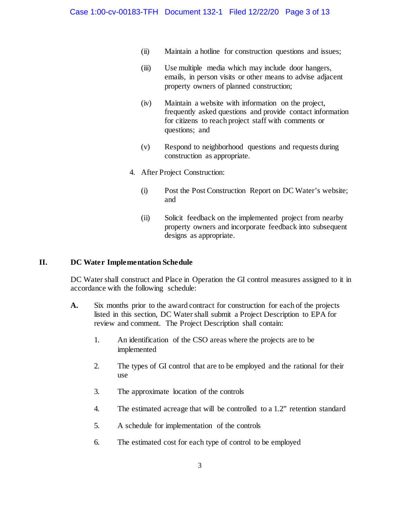- (ii) Maintain a hotline for construction questions and issues;
- (iii) Use multiple media which may include door hangers, emails, in person visits or other means to advise adjacent property owners of planned construction;
- (iv) Maintain a website with information on the project, frequently asked questions and provide contact information for citizens to reach project staff with comments or questions; and
- (v) Respond to neighborhood questions and requests during construction as appropriate.
- 4. After Project Construction:
	- (i) Post the Post Construction Report on DC Water's website; and
	- (ii) Solicit feedback on the implemented project from nearby property owners and incorporate feedback into subsequent designs as appropriate.

## **II. DC Water Implementation Schedule**

DC Water shall construct and Place in Operation the GI control measures assigned to it in accordance with the following schedule:

- **A.** Six months prior to the award contract for construction for each of the projects listed in this section, DC Water shall submit a Project Description to EPA for review and comment. The Project Description shall contain:
	- 1. An identification of the CSO areas where the projects are to be implemented
	- 2. The types of GI control that are to be employed and the rational for their use
	- 3. The approximate location of the controls
	- 4. The estimated acreage that will be controlled to a 1.2" retention standard
	- 5. A schedule for implementation of the controls
	- 6. The estimated cost for each type of control to be employed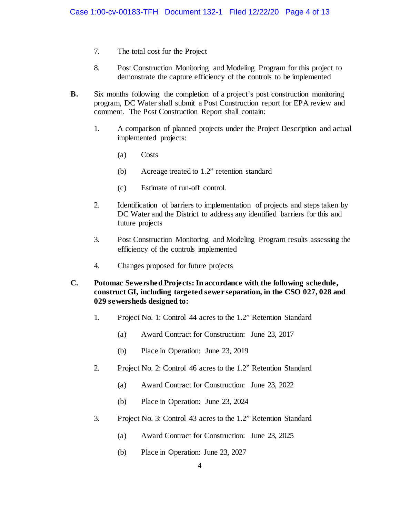- 7. The total cost for the Project
- 8. Post Construction Monitoring and Modeling Program for this project to demonstrate the capture efficiency of the controls to be implemented
- **B.** Six months following the completion of a project's post construction monitoring program, DC Water shall submit a Post Construction report for EPA review and comment. The Post Construction Report shall contain:
	- 1. A comparison of planned projects under the Project Description and actual implemented projects:
		- (a) Costs
		- (b) Acreage treated to 1.2" retention standard
		- (c) Estimate of run-off control.
	- 2. Identification of barriers to implementation of projects and steps taken by DC Water and the District to address any identified barriers for this and future projects
	- 3. Post Construction Monitoring and Modeling Program results assessing the efficiency of the controls implemented
	- 4. Changes proposed for future projects
- **C. Potomac Sewershed Projects: In accordance with the following schedule, construct GI, including targeted sewer separation, in the CSO 027, 028 and 029 sewersheds designed to:** 
	- 1. Project No. 1: Control 44 acres to the 1.2" Retention Standard
		- (a) Award Contract for Construction: June 23, 2017
		- (b) Place in Operation: June 23, 2019
	- 2. Project No. 2: Control 46 acres to the 1.2" Retention Standard
		- (a) Award Contract for Construction: June 23, 2022
		- (b) Place in Operation: June 23, 2024
	- 3. Project No. 3: Control 43 acres to the 1.2" Retention Standard
		- (a) Award Contract for Construction: June 23, 2025
		- (b) Place in Operation: June 23, 2027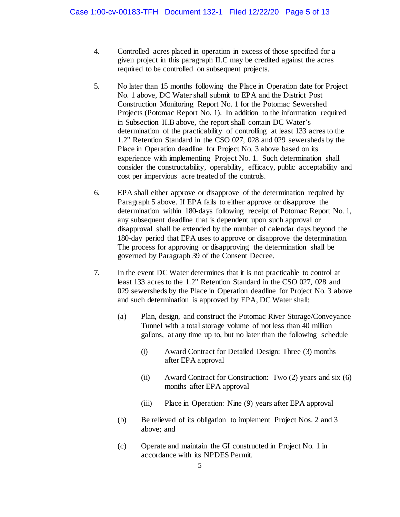- 4. Controlled acres placed in operation in excess of those specified for a given project in this paragraph II.C may be credited against the acres required to be controlled on subsequent projects.
- 5. No later than 15 months following the Place in Operation date for Project No. 1 above, DC Water shall submit to EPA and the District Post Construction Monitoring Report No. 1 for the Potomac Sewershed Projects (Potomac Report No. 1). In addition to the information required in Subsection II.B above, the report shall contain DC Water's determination of the practicability of controlling at least 133 acres to the 1.2" Retention Standard in the CSO 027, 028 and 029 sewersheds by the Place in Operation deadline for Project No. 3 above based on its experience with implementing Project No. 1. Such determination shall consider the constructability, operability, efficacy, public acceptability and cost per impervious acre treated of the controls.
- 6. EPA shall either approve or disapprove of the determination required by Paragraph 5 above. If EPA fails to either approve or disapprove the determination within 180-days following receipt of Potomac Report No. 1, any subsequent deadline that is dependent upon such approval or disapproval shall be extended by the number of calendar days beyond the 180-day period that EPA uses to approve or disapprove the determination. The process for approving or disapproving the determination shall be governed by Paragraph 39 of the Consent Decree.
- 7. In the event DC Water determines that it is not practicable to control at least 133 acres to the 1.2" Retention Standard in the CSO 027, 028 and 029 sewersheds by the Place in Operation deadline for Project No. 3 above and such determination is approved by EPA, DC Water shall:
	- (a) Plan, design, and construct the Potomac River Storage/Conveyance Tunnel with a total storage volume of not less than 40 million gallons, at any time up to, but no later than the following schedule
		- (i) Award Contract for Detailed Design: Three (3) months after EPA approval
		- (ii) Award Contract for Construction: Two (2) years and six (6) months after EPA approval
		- (iii) Place in Operation: Nine (9) years after EPA approval
	- (b) Be relieved of its obligation to implement Project Nos. 2 and 3 above; and
	- (c) Operate and maintain the GI constructed in Project No. 1 in accordance with its NPDES Permit.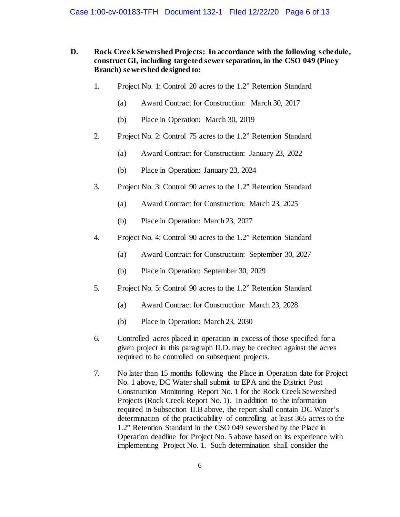#### **D. Rock Creek Sewershed Projects: In accordance with the following schedule, construct GI, including targeted sewer separation, in the CSO 049 (Piney Branch) sewershed designed to:**

- 1. Project No. 1: Control 20 acres to the 1.2" Retention Standard
	- (a) Award Contract for Construction: March 30, 2017
	- (b) Place in Operation: March 30, 2019
- 2. Project No. 2: Control 75 acres to the 1.2" Retention Standard
	- (a) Award Contract for Construction: January 23, 2022
	- (b) Place in Operation: January 23, 2024
- 3. Project No. 3: Control 90 acres to the 1.2" Retention Standard
	- (a) Award Contract for Construction: March 23, 2025
	- (b) Place in Operation: March 23, 2027
- 4. Project No. 4: Control 90 acres to the 1.2" Retention Standard
	- (a) Award Contract for Construction: September 30, 2027
	- (b) Place in Operation: September 30, 2029
- 5. Project No. 5: Control 90 acres to the 1.2" Retention Standard
	- (a) Award Contract for Construction: March 23, 2028
	- (b) Place in Operation: March 23, 2030
- 6. Controlled acres placed in operation in excess of those specified for a given project in this paragraph II.D. may be credited against the acres required to be controlled on subsequent projects.
- 7. No later than 15 months following the Place in Operation date for Project No. 1 above, DC Water shall submit to EPA and the District Post Construction Monitoring Report No. 1 for the Rock Creek Sewershed Projects (Rock Creek Report No. 1). In addition to the information required in Subsection II.B above, the report shall contain DC Water's determination of the practicability of controlling at least 365 acres to the 1.2" Retention Standard in the CSO 049 sewershed by the Place in Operation deadline for Project No. 5 above based on its experience with implementing Project No. 1. Such determination shall consider the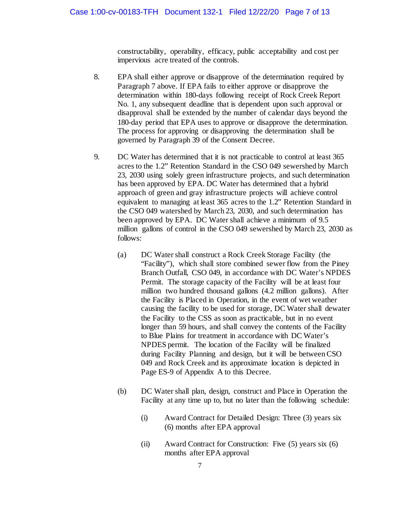constructability, operability, efficacy, public acceptability and cost per impervious acre treated of the controls.

- 8. EPA shall either approve or disapprove of the determination required by Paragraph 7 above. If EPA fails to either approve or disapprove the determination within 180-days following receipt of Rock Creek Report No. 1, any subsequent deadline that is dependent upon such approval or disapproval shall be extended by the number of calendar days beyond the 180-day period that EPA uses to approve or disapprove the determination. The process for approving or disapproving the determination shall be governed by Paragraph 39 of the Consent Decree.
- 9. DC Water has determined that it is not practicable to control at least 365 acres to the 1.2" Retention Standard in the CSO 049 sewershed by March 23, 2030 using solely green infrastructure projects, and such determination has been approved by EPA. DC Water has determined that a hybrid approach of green and gray infrastructure projects will achieve control equivalent to managing at least 365 acres to the 1.2" Retention Standard in the CSO 049 watershed by March 23, 2030, and such determination has been approved by EPA. DC Water shall achieve a minimum of 9.5 million gallons of control in the CSO 049 sewershed by March 23, 2030 as follows:
	- (a) DC Water shall construct a Rock Creek Storage Facility (the "Facility"), which shall store combined sewer flow from the Piney Branch Outfall, CSO 049, in accordance with DC Water's NPDES Permit. The storage capacity of the Facility will be at least four million two hundred thousand gallons (4.2 million gallons). After the Facility is Placed in Operation, in the event of wet weather causing the facility to be used for storage, DC Water shall dewater the Facility to the CSS as soon as practicable, but in no event longer than 59 hours, and shall convey the contents of the Facility to Blue Plains for treatment in accordance with DC Water's NPDES permit. The location of the Facility will be finalized during Facility Planning and design, but it will be between CSO 049 and Rock Creek and its approximate location is depicted in Page ES-9 of Appendix A to this Decree.
	- (b) DC Water shall plan, design, construct and Place in Operation the Facility at any time up to, but no later than the following schedule:
		- (i) Award Contract for Detailed Design: Three (3) years six (6) months after EPA approval
		- (ii) Award Contract for Construction: Five (5) years six (6) months after EPA approval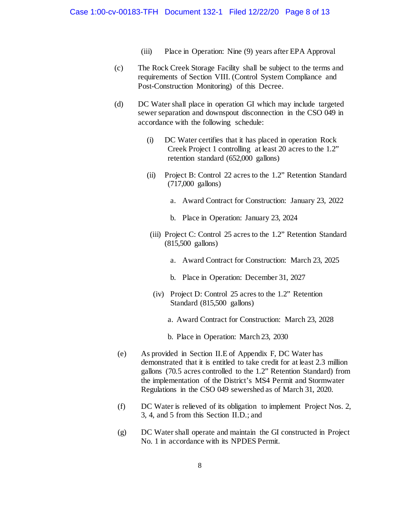- (iii) Place in Operation: Nine (9) years after EPA Approval
- (c) The Rock Creek Storage Facility shall be subject to the terms and requirements of Section VIII. (Control System Compliance and Post-Construction Monitoring) of this Decree.
- (d) DC Water shall place in operation GI which may include targeted sewer separation and downspout disconnection in the CSO 049 in accordance with the following schedule:
	- (i) DC Water certifies that it has placed in operation Rock Creek Project 1 controlling at least 20 acres to the 1.2" retention standard (652,000 gallons)
	- (ii) Project B: Control 22 acres to the 1.2" Retention Standard (717,000 gallons)
		- a. Award Contract for Construction: January 23, 2022
		- b. Place in Operation: January 23, 2024
	- (iii) Project C: Control 25 acres to the 1.2" Retention Standard (815,500 gallons)
		- a. Award Contract for Construction: March 23, 2025
		- b. Place in Operation: December 31, 2027
		- (iv) Project D: Control 25 acres to the 1.2" Retention Standard (815,500 gallons)
			- a. Award Contract for Construction: March 23, 2028
			- b. Place in Operation: March 23, 2030
- (e) As provided in Section II.E of Appendix F, DC Water has demonstrated that it is entitled to take credit for at least 2.3 million gallons (70.5 acres controlled to the 1.2" Retention Standard) from the implementation of the District's MS4 Permit and Stormwater Regulations in the CSO 049 sewershed as of March 31, 2020.
- (f) DC Water is relieved of its obligation to implement Project Nos. 2, 3, 4, and 5 from this Section II.D.; and
- (g) DC Water shall operate and maintain the GI constructed in Project No. 1 in accordance with its NPDES Permit.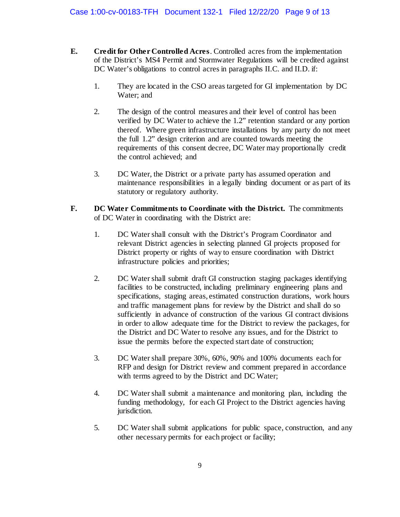- **E. Credit for Other Controlled Acres**. Controlled acres from the implementation of the District's MS4 Permit and Stormwater Regulations will be credited against DC Water's obligations to control acres in paragraphs II.C. and II.D. if:
	- 1. They are located in the CSO areas targeted for GI implementation by DC Water; and
	- 2. The design of the control measures and their level of control has been verified by DC Water to achieve the 1.2" retention standard or any portion thereof. Where green infrastructure installations by any party do not meet the full 1.2" design criterion and are counted towards meeting the requirements of this consent decree, DC Water may proportionally credit the control achieved; and
	- 3. DC Water, the District or a private party has assumed operation and maintenance responsibilities in a legally binding document or as part of its statutory or regulatory authority.
- **F. DC Water Commitments to Coordinate with the District.** The commitments of DC Water in coordinating with the District are:
	- 1. DC Water shall consult with the District's Program Coordinator and relevant District agencies in selecting planned GI projects proposed for District property or rights of way to ensure coordination with District infrastructure policies and priorities;
	- 2. DC Water shall submit draft GI construction staging packages identifying facilities to be constructed, including preliminary engineering plans and specifications, staging areas, estimated construction durations, work hours and traffic management plans for review by the District and shall do so sufficiently in advance of construction of the various GI contract divisions in order to allow adequate time for the District to review the packages, for the District and DC Water to resolve any issues, and for the District to issue the permits before the expected start date of construction;
	- 3. DC Water shall prepare 30%, 60%, 90% and 100% documents each for RFP and design for District review and comment prepared in accordance with terms agreed to by the District and DC Water;
	- 4. DC Water shall submit a maintenance and monitoring plan, including the funding methodology, for each GI Project to the District agencies having jurisdiction.
	- 5. DC Water shall submit applications for public space, construction, and any other necessary permits for each project or facility;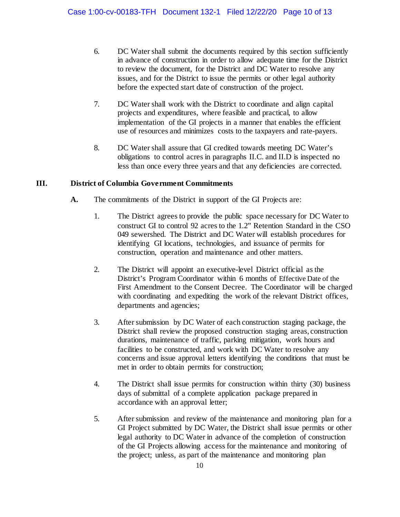- 6. DC Water shall submit the documents required by this section sufficiently in advance of construction in order to allow adequate time for the District to review the document, for the District and DC Water to resolve any issues, and for the District to issue the permits or other legal authority before the expected start date of construction of the project.
- 7. DC Water shall work with the District to coordinate and align capital projects and expenditures, where feasible and practical, to allow implementation of the GI projects in a manner that enables the efficient use of resources and minimizes costs to the taxpayers and rate-payers.
- 8. DC Water shall assure that GI credited towards meeting DC Water's obligations to control acres in paragraphs II.C. and II.D is inspected no less than once every three years and that any deficiencies are corrected.

# **III. District of Columbia Government Commitments**

- **A.** The commitments of the District in support of the GI Projects are:
	- 1. The District agrees to provide the public space necessary for DC Water to construct GI to control 92 acres to the 1.2" Retention Standard in the CSO 049 sewershed. The District and DC Water will establish procedures for identifying GI locations, technologies, and issuance of permits for construction, operation and maintenance and other matters.
	- 2. The District will appoint an executive-level District official as the District's Program Coordinator within 6 months of Effective Date of the First Amendment to the Consent Decree. The Coordinator will be charged with coordinating and expediting the work of the relevant District offices, departments and agencies;
	- 3. After submission by DC Water of each construction staging package, the District shall review the proposed construction staging areas, construction durations, maintenance of traffic, parking mitigation, work hours and facilities to be constructed, and work with DC Water to resolve any concerns and issue approval letters identifying the conditions that must be met in order to obtain permits for construction;
	- 4. The District shall issue permits for construction within thirty (30) business days of submittal of a complete application package prepared in accordance with an approval letter;
	- 5. After submission and review of the maintenance and monitoring plan for a GI Project submitted by DC Water, the District shall issue permits or other legal authority to DC Water in advance of the completion of construction of the GI Projects allowing access for the maintenance and monitoring of the project; unless, as part of the maintenance and monitoring plan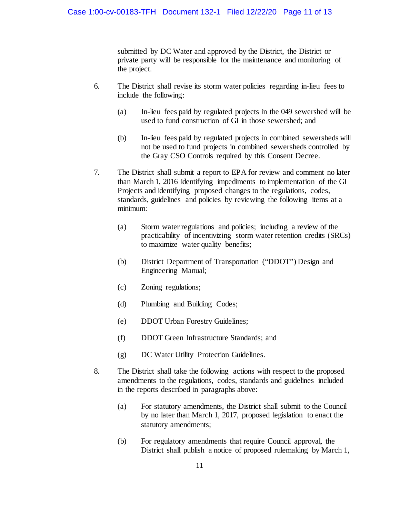submitted by DC Water and approved by the District, the District or private party will be responsible for the maintenance and monitoring of the project.

- 6. The District shall revise its storm water policies regarding in-lieu fees to include the following:
	- (a) In-lieu fees paid by regulated projects in the 049 sewershed will be used to fund construction of GI in those sewershed; and
	- (b) In-lieu fees paid by regulated projects in combined sewersheds will not be used to fund projects in combined sewersheds controlled by the Gray CSO Controls required by this Consent Decree.
- 7. The District shall submit a report to EPA for review and comment no later than March 1, 2016 identifying impediments to implementation of the GI Projects and identifying proposed changes to the regulations, codes, standards, guidelines and policies by reviewing the following items at a minimum:
	- (a) Storm water regulations and policies; including a review of the practicability of incentivizing storm water retention credits (SRCs) to maximize water quality benefits;
	- (b) District Department of Transportation ("DDOT") Design and Engineering Manual;
	- (c) Zoning regulations;
	- (d) Plumbing and Building Codes;
	- (e) DDOT Urban Forestry Guidelines;
	- (f) DDOT Green Infrastructure Standards; and
	- (g) DC Water Utility Protection Guidelines.
- 8. The District shall take the following actions with respect to the proposed amendments to the regulations, codes, standards and guidelines included in the reports described in paragraphs above:
	- (a) For statutory amendments, the District shall submit to the Council by no later than March 1, 2017, proposed legislation to enact the statutory amendments;
	- (b) For regulatory amendments that require Council approval, the District shall publish a notice of proposed rulemaking by March 1,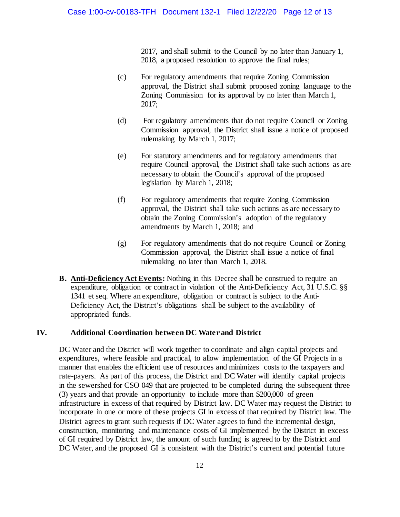2017, and shall submit to the Council by no later than January 1, 2018, a proposed resolution to approve the final rules;

- (c) For regulatory amendments that require Zoning Commission approval, the District shall submit proposed zoning language to the Zoning Commission for its approval by no later than March 1, 2017;
- (d) For regulatory amendments that do not require Council or Zoning Commission approval, the District shall issue a notice of proposed rulemaking by March 1, 2017;
- (e) For statutory amendments and for regulatory amendments that require Council approval, the District shall take such actions as are necessary to obtain the Council's approval of the proposed legislation by March 1, 2018;
- (f) For regulatory amendments that require Zoning Commission approval, the District shall take such actions as are necessary to obtain the Zoning Commission's adoption of the regulatory amendments by March 1, 2018; and
- (g) For regulatory amendments that do not require Council or Zoning Commission approval, the District shall issue a notice of final rulemaking no later than March 1, 2018.
- **B. Anti-Deficiency Act Events:** Nothing in this Decree shall be construed to require an expenditure, obligation or contract in violation of the Anti-Deficiency Act, 31 U.S.C. §§ 1341 etseq. Where an expenditure, obligation or contract is subject to the Anti-Deficiency Act, the District's obligations shall be subject to the availability of appropriated funds.

#### **IV. Additional Coordination between DC Water and District**

DC Water and the District will work together to coordinate and align capital projects and expenditures, where feasible and practical, to allow implementation of the GI Projects in a manner that enables the efficient use of resources and minimizes costs to the taxpayers and rate-payers. As part of this process, the District and DC Water will identify capital projects in the sewershed for CSO 049 that are projected to be completed during the subsequent three (3) years and that provide an opportunity to include more than \$200,000 of green infrastructure in excess of that required by District law. DC Water may request the District to incorporate in one or more of these projects GI in excess of that required by District law. The District agrees to grant such requests if DC Water agrees to fund the incremental design, construction, monitoring and maintenance costs of GI implemented by the District in excess of GI required by District law, the amount of such funding is agreed to by the District and DC Water, and the proposed GI is consistent with the District's current and potential future